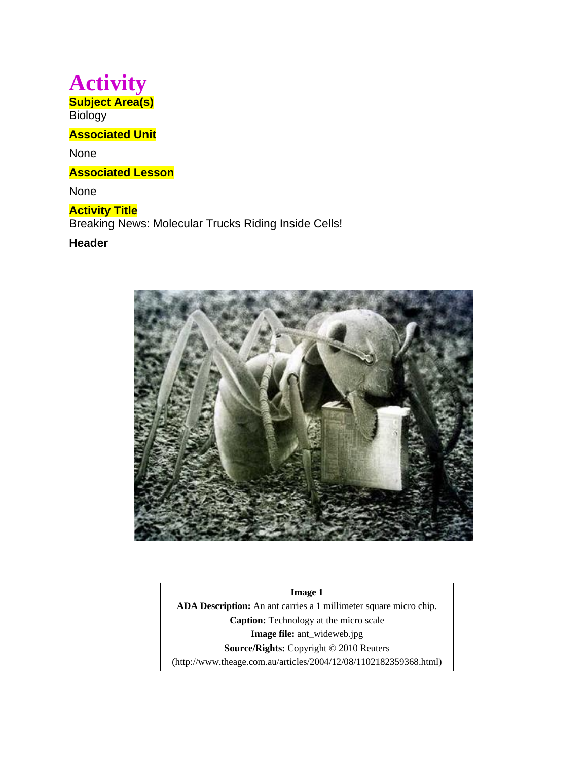# **Activity Subject Area(s)**

**Biology** 

## **Associated Unit**

None

**Associated Lesson** 

None

## **Activity Title** Breaking News: Molecular Trucks Riding Inside Cells!

## **Header**



**Image 1 ADA Description:** An ant carries a 1 millimeter square micro chip. **Caption:** Technology at the micro scale **Image file:** ant\_wideweb.jpg **Source/Rights:** Copyright © 2010 Reuters (http://www.theage.com.au/articles/2004/12/08/1102182359368.html)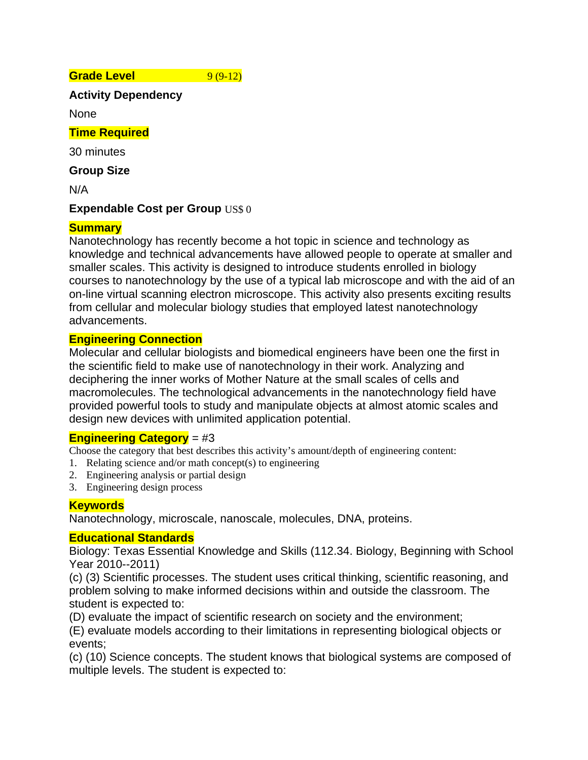**Grade Level** 9 (9-12)

**Activity Dependency** 

None

## **Time Required**

30 minutes

**Group Size** 

N/A

## **Expendable Cost per Group** US\$ 0

## **Summary**

Nanotechnology has recently become a hot topic in science and technology as knowledge and technical advancements have allowed people to operate at smaller and smaller scales. This activity is designed to introduce students enrolled in biology courses to nanotechnology by the use of a typical lab microscope and with the aid of an on-line virtual scanning electron microscope. This activity also presents exciting results from cellular and molecular biology studies that employed latest nanotechnology advancements.

## **Engineering Connection**

Molecular and cellular biologists and biomedical engineers have been one the first in the scientific field to make use of nanotechnology in their work. Analyzing and deciphering the inner works of Mother Nature at the small scales of cells and macromolecules. The technological advancements in the nanotechnology field have provided powerful tools to study and manipulate objects at almost atomic scales and design new devices with unlimited application potential.

## **Engineering Category** = #3

Choose the category that best describes this activity's amount/depth of engineering content:

- 1. Relating science and/or math concept(s) to engineering
- 2. Engineering analysis or partial design
- 3. Engineering design process

## **Keywords**

Nanotechnology, microscale, nanoscale, molecules, DNA, proteins.

## **Educational Standards**

Biology: Texas Essential Knowledge and Skills (112.34. Biology, Beginning with School Year 2010--2011)

(c) (3) Scientific processes. The student uses critical thinking, scientific reasoning, and problem solving to make informed decisions within and outside the classroom. The student is expected to:

(D) evaluate the impact of scientific research on society and the environment;

(E) evaluate models according to their limitations in representing biological objects or events;

(c) (10) Science concepts. The student knows that biological systems are composed of multiple levels. The student is expected to: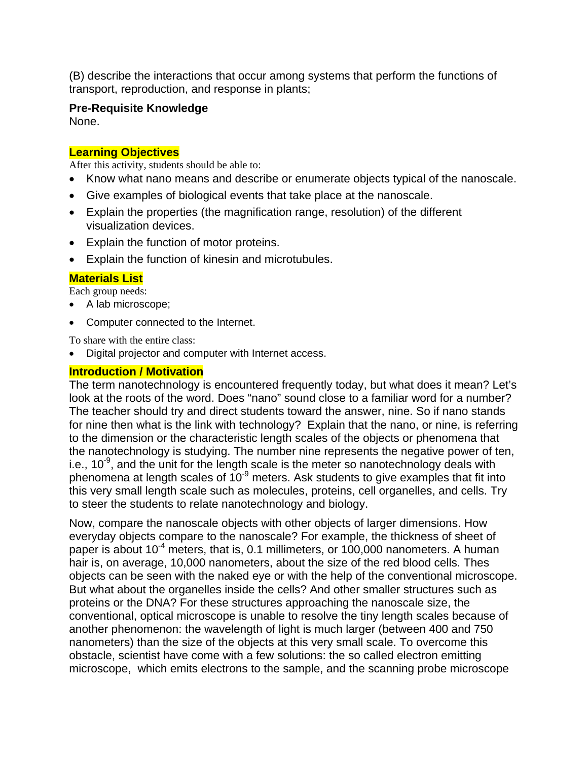(B) describe the interactions that occur among systems that perform the functions of transport, reproduction, and response in plants;

### **Pre-Requisite Knowledge**

None.

## **Learning Objectives**

After this activity, students should be able to:

- Know what nano means and describe or enumerate objects typical of the nanoscale.
- Give examples of biological events that take place at the nanoscale.
- Explain the properties (the magnification range, resolution) of the different visualization devices.
- Explain the function of motor proteins.
- Explain the function of kinesin and microtubules.

## **Materials List**

Each group needs:

- A lab microscope;
- Computer connected to the Internet.

To share with the entire class:

• Digital projector and computer with Internet access.

## **Introduction / Motivation**

The term nanotechnology is encountered frequently today, but what does it mean? Let's look at the roots of the word. Does "nano" sound close to a familiar word for a number? The teacher should try and direct students toward the answer, nine. So if nano stands for nine then what is the link with technology? Explain that the nano, or nine, is referring to the dimension or the characteristic length scales of the objects or phenomena that the nanotechnology is studying. The number nine represents the negative power of ten, i.e.,  $10^{-9}$ , and the unit for the length scale is the meter so nanotechnology deals with phenomena at length scales of  $10^{-9}$  meters. Ask students to give examples that fit into this very small length scale such as molecules, proteins, cell organelles, and cells. Try to steer the students to relate nanotechnology and biology.

Now, compare the nanoscale objects with other objects of larger dimensions. How everyday objects compare to the nanoscale? For example, the thickness of sheet of paper is about 10<sup>-4</sup> meters, that is, 0.1 millimeters, or 100,000 nanometers. A human hair is, on average, 10,000 nanometers, about the size of the red blood cells. Thes objects can be seen with the naked eye or with the help of the conventional microscope. But what about the organelles inside the cells? And other smaller structures such as proteins or the DNA? For these structures approaching the nanoscale size, the conventional, optical microscope is unable to resolve the tiny length scales because of another phenomenon: the wavelength of light is much larger (between 400 and 750 nanometers) than the size of the objects at this very small scale. To overcome this obstacle, scientist have come with a few solutions: the so called electron emitting microscope, which emits electrons to the sample, and the scanning probe microscope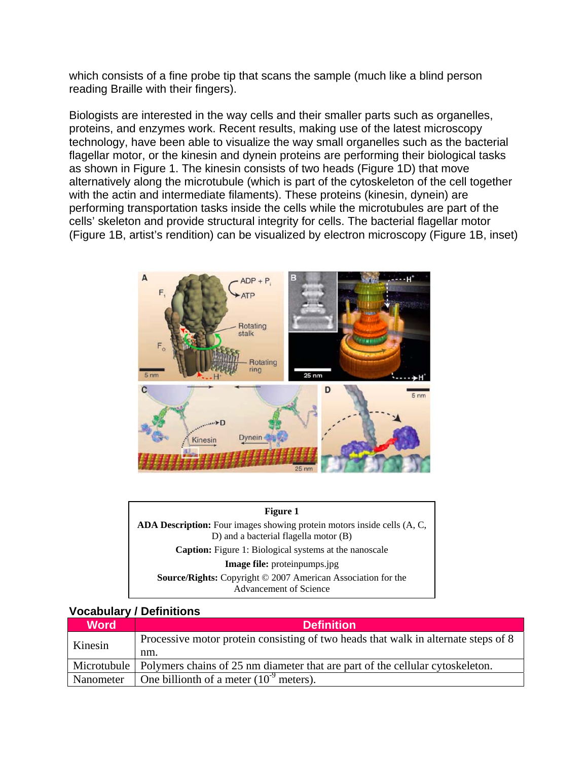which consists of a fine probe tip that scans the sample (much like a blind person reading Braille with their fingers).

Biologists are interested in the way cells and their smaller parts such as organelles, proteins, and enzymes work. Recent results, making use of the latest microscopy technology, have been able to visualize the way small organelles such as the bacterial flagellar motor, or the kinesin and dynein proteins are performing their biological tasks as shown in Figure 1. The kinesin consists of two heads (Figure 1D) that move alternatively along the microtubule (which is part of the cytoskeleton of the cell together with the actin and intermediate filaments). These proteins (kinesin, dynein) are performing transportation tasks inside the cells while the microtubules are part of the cells' skeleton and provide structural integrity for cells. The bacterial flagellar motor (Figure 1B, artist's rendition) can be visualized by electron microscopy (Figure 1B, inset)



| Figure 1                                                                                                                |
|-------------------------------------------------------------------------------------------------------------------------|
| <b>ADA Description:</b> Four images showing protein motors inside cells (A, C,<br>D) and a bacterial flagella motor (B) |
| <b>Caption:</b> Figure 1: Biological systems at the nanoscale                                                           |
| Image file: proteinpumps.jpg                                                                                            |
| <b>Source/Rights:</b> Copyright © 2007 American Association for the<br>Advancement of Science                           |

#### **Vocabulary / Definitions**

| <b>Word</b> | <b>Definition</b>                                                                           |
|-------------|---------------------------------------------------------------------------------------------|
| Kinesin     | Processive motor protein consisting of two heads that walk in alternate steps of 8          |
|             | nm.                                                                                         |
|             | Microtubule   Polymers chains of 25 nm diameter that are part of the cellular cytoskeleton. |
| Nanometer   | One billionth of a meter $(10^9 \text{ meters})$ .                                          |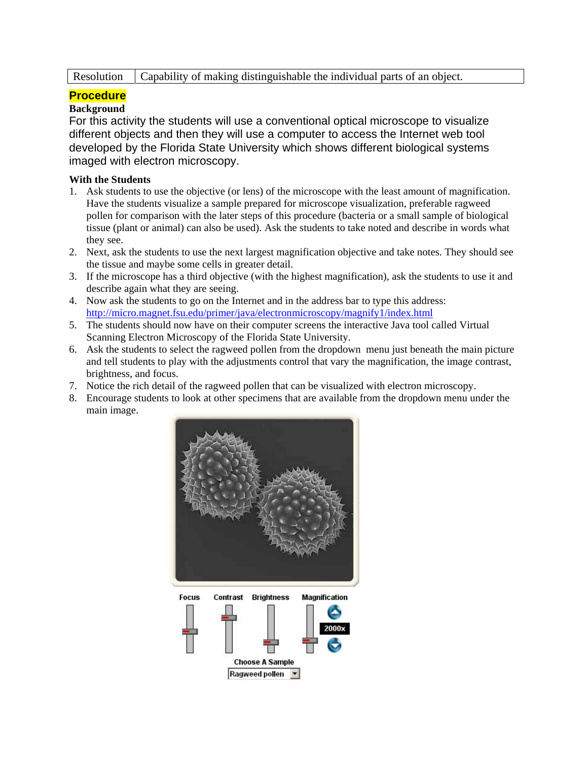Resolution Capability of making distinguishable the individual parts of an object.

## **Procedure**

### **Background**

For this activity the students will use a conventional optical microscope to visualize different objects and then they will use a computer to access the Internet web tool developed by the Florida State University which shows different biological systems imaged with electron microscopy.

#### **With the Students**

- 1. Ask students to use the objective (or lens) of the microscope with the least amount of magnification. Have the students visualize a sample prepared for microscope visualization, preferable ragweed pollen for comparison with the later steps of this procedure (bacteria or a small sample of biological tissue (plant or animal) can also be used). Ask the students to take noted and describe in words what they see.
- 2. Next, ask the students to use the next largest magnification objective and take notes. They should see the tissue and maybe some cells in greater detail.
- 3. If the microscope has a third objective (with the highest magnification), ask the students to use it and describe again what they are seeing.
- 4. Now ask the students to go on the Internet and in the address bar to type this address: http://micro.magnet.fsu.edu/primer/java/electronmicroscopy/magnify1/index.html
- 5. The students should now have on their computer screens the interactive Java tool called Virtual Scanning Electron Microscopy of the Florida State University.
- 6. Ask the students to select the ragweed pollen from the dropdown menu just beneath the main picture and tell students to play with the adjustments control that vary the magnification, the image contrast, brightness, and focus.
- 7. Notice the rich detail of the ragweed pollen that can be visualized with electron microscopy.
- 8. Encourage students to look at other specimens that are available from the dropdown menu under the main image.

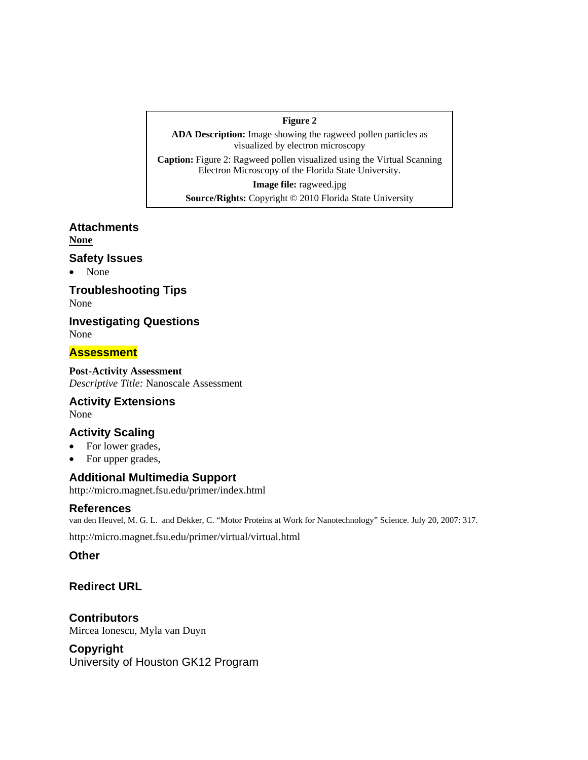#### **Figure 2**

**ADA Description:** Image showing the ragweed pollen particles as visualized by electron microscopy

**Caption:** Figure 2: Ragweed pollen visualized using the Virtual Scanning Electron Microscopy of the Florida State University.

**Image file:** ragweed.jpg **Source/Rights:** Copyright © 2010 Florida State University

**Attachments None**

#### **Safety Issues**

• None

**Troubleshooting Tips**  None

**Investigating Questions**  None

**Assessment** 

**Post-Activity Assessment**  *Descriptive Title:* Nanoscale Assessment

**Activity Extensions**  None

## **Activity Scaling**

- For lower grades,
- For upper grades,

#### **Additional Multimedia Support**

http://micro.magnet.fsu.edu/primer/index.html

#### **References**

van den Heuvel, M. G. L. and Dekker, C. "Motor Proteins at Work for Nanotechnology" Science. July 20, 2007: 317.

http://micro.magnet.fsu.edu/primer/virtual/virtual.html

**Other** 

#### **Redirect URL**

**Contributors**  Mircea Ionescu, Myla van Duyn

## **Copyright**

University of Houston GK12 Program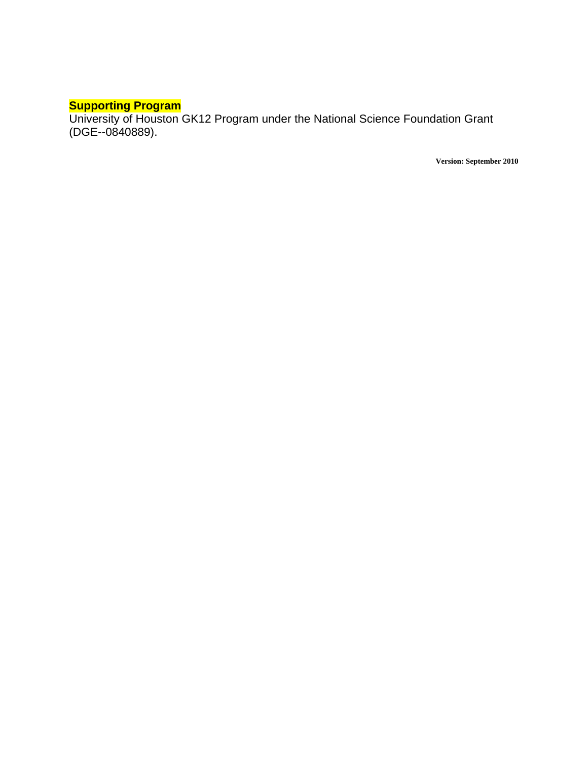#### **Supporting Program**

University of Houston GK12 Program under the National Science Foundation Grant (DGE--0840889).

**Version: September 2010**